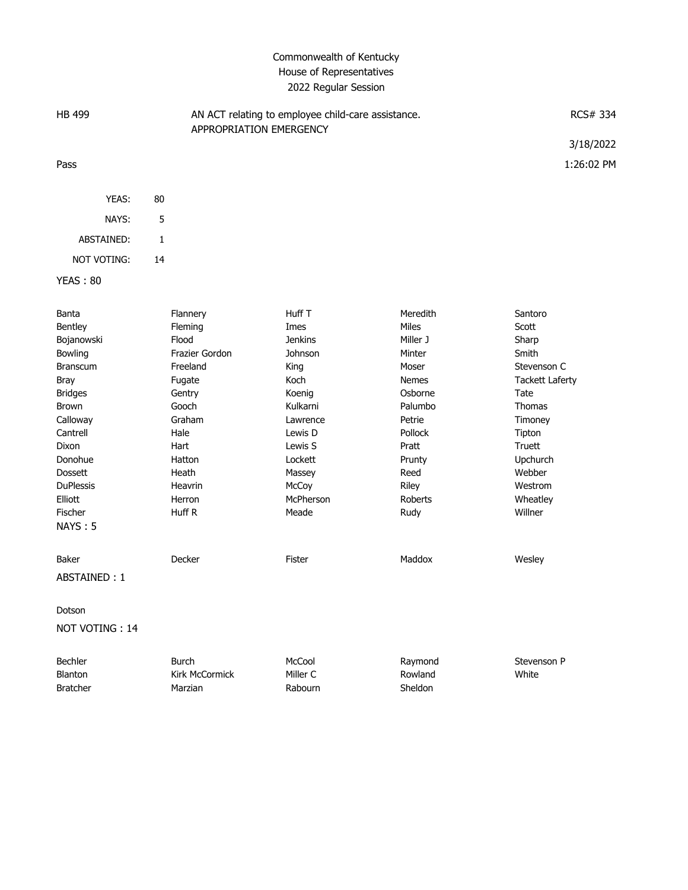## Commonwealth of Kentucky House of Representatives 2022 Regular Session

| <b>HB 499</b> |    | AN ACT relating to employee child-care assistance.<br>APPROPRIATION EMERGENCY | RCS# 334   |
|---------------|----|-------------------------------------------------------------------------------|------------|
|               |    |                                                                               | 3/18/2022  |
| Pass          |    |                                                                               | 1:26:02 PM |
|               |    |                                                                               |            |
| YEAS:         | 80 |                                                                               |            |
| NAYS:         | 5  |                                                                               |            |
| ABSTAINED:    |    |                                                                               |            |

YEAS : 80

NOT VOTING: 14

| Banta            | Flannery              | Huff T         | Meredith     | Santoro                |
|------------------|-----------------------|----------------|--------------|------------------------|
| Bentley          | Fleming               | Imes           | <b>Miles</b> | Scott                  |
| Bojanowski       | Flood                 | <b>Jenkins</b> | Miller J     | Sharp                  |
| Bowling          | Frazier Gordon        | Johnson        | Minter       | Smith                  |
| <b>Branscum</b>  | Freeland              | King           | Moser        | Stevenson C            |
| <b>Bray</b>      | Fugate                | Koch           | <b>Nemes</b> | <b>Tackett Laferty</b> |
| <b>Bridges</b>   | Gentry                | Koenig         | Osborne      | Tate                   |
| <b>Brown</b>     | Gooch                 | Kulkarni       | Palumbo      | <b>Thomas</b>          |
| Calloway         | Graham                | Lawrence       | Petrie       | Timoney                |
| Cantrell         | Hale                  | Lewis D        | Pollock      | Tipton                 |
| Dixon            | Hart                  | Lewis S        | Pratt        | Truett                 |
| Donohue          | Hatton                | Lockett        | Prunty       | Upchurch               |
| <b>Dossett</b>   | Heath                 | Massey         | Reed         | Webber                 |
| <b>DuPlessis</b> | Heavrin               | McCoy          | Riley        | Westrom                |
| Elliott          | Herron                | McPherson      | Roberts      | Wheatley               |
| Fischer          | Huff R                | Meade          | Rudy         | Willner                |
| <b>NAYS: 5</b>   |                       |                |              |                        |
| <b>Baker</b>     | Decker                | <b>Fister</b>  | Maddox       | Wesley                 |
| ABSTAINED: 1     |                       |                |              |                        |
| Dotson           |                       |                |              |                        |
| NOT VOTING: 14   |                       |                |              |                        |
| Bechler          | <b>Burch</b>          | McCool         | Raymond      | Stevenson P            |
| <b>Blanton</b>   | <b>Kirk McCormick</b> | Miller C       | Rowland      | White                  |
| <b>Bratcher</b>  | Marzian               | Rabourn        | Sheldon      |                        |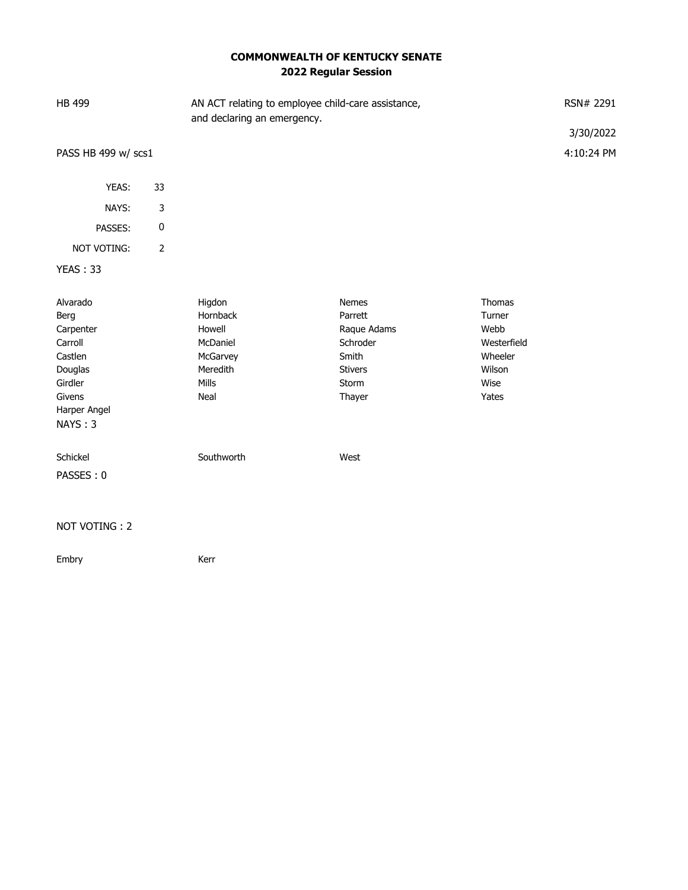## **COMMONWEALTH OF KENTUCKY SENATE 2022 Regular Session**

| HB 499                                                                                                         |                | AN ACT relating to employee child-care assistance,<br>and declaring an emergency. |                                                                                                  |                                                                                      | RSN# 2291<br>3/30/2022 |
|----------------------------------------------------------------------------------------------------------------|----------------|-----------------------------------------------------------------------------------|--------------------------------------------------------------------------------------------------|--------------------------------------------------------------------------------------|------------------------|
| PASS HB 499 w/ scs1                                                                                            |                |                                                                                   |                                                                                                  |                                                                                      | 4:10:24 PM             |
| YEAS:                                                                                                          | 33             |                                                                                   |                                                                                                  |                                                                                      |                        |
| NAYS:                                                                                                          | 3              |                                                                                   |                                                                                                  |                                                                                      |                        |
| PASSES:                                                                                                        | $\pmb{0}$      |                                                                                   |                                                                                                  |                                                                                      |                        |
| NOT VOTING:                                                                                                    | $\overline{2}$ |                                                                                   |                                                                                                  |                                                                                      |                        |
| <b>YEAS: 33</b>                                                                                                |                |                                                                                   |                                                                                                  |                                                                                      |                        |
| Alvarado<br>Berg<br>Carpenter<br>Carroll<br>Castlen<br>Douglas<br>Girdler<br>Givens<br>Harper Angel<br>NAYS: 3 |                | Higdon<br>Hornback<br>Howell<br>McDaniel<br>McGarvey<br>Meredith<br>Mills<br>Neal | <b>Nemes</b><br>Parrett<br>Raque Adams<br>Schroder<br>Smith<br><b>Stivers</b><br>Storm<br>Thayer | <b>Thomas</b><br>Turner<br>Webb<br>Westerfield<br>Wheeler<br>Wilson<br>Wise<br>Yates |                        |
| Schickel<br>PASSES: 0                                                                                          |                | Southworth                                                                        | West                                                                                             |                                                                                      |                        |
| NOT VOTING: 2                                                                                                  |                |                                                                                   |                                                                                                  |                                                                                      |                        |

Embry Kerr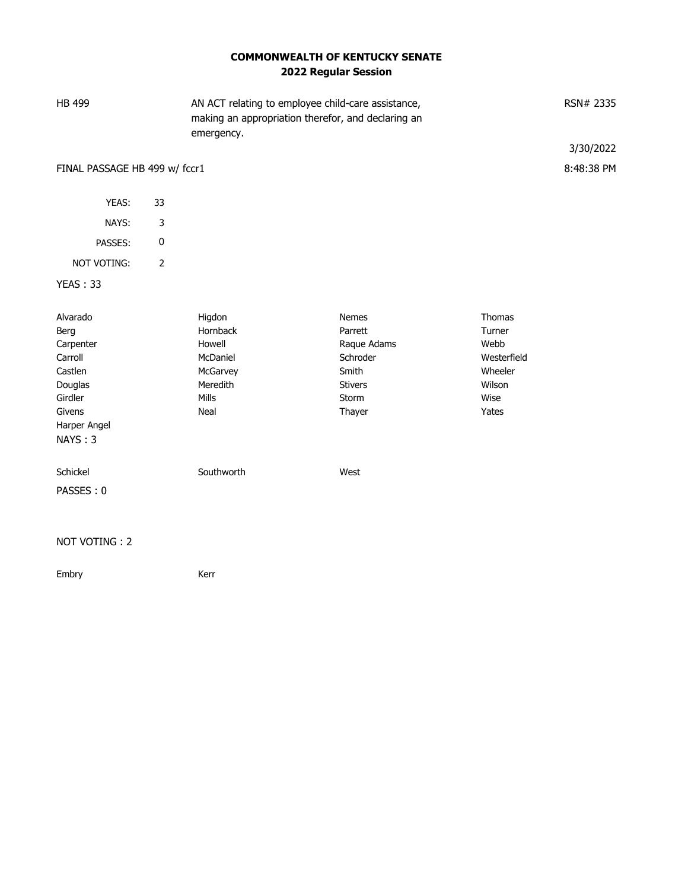## **COMMONWEALTH OF KENTUCKY SENATE 2022 Regular Session**

| HB 499                        |                | emergency. | AN ACT relating to employee child-care assistance,<br>making an appropriation therefor, and declaring an |             | RSN# 2335<br>3/30/2022 |
|-------------------------------|----------------|------------|----------------------------------------------------------------------------------------------------------|-------------|------------------------|
| FINAL PASSAGE HB 499 w/ fccr1 |                |            |                                                                                                          |             | 8:48:38 PM             |
|                               |                |            |                                                                                                          |             |                        |
| YEAS:                         | 33             |            |                                                                                                          |             |                        |
| NAYS:                         | 3              |            |                                                                                                          |             |                        |
| PASSES:                       | $\pmb{0}$      |            |                                                                                                          |             |                        |
| NOT VOTING:                   | $\overline{2}$ |            |                                                                                                          |             |                        |
| <b>YEAS: 33</b>               |                |            |                                                                                                          |             |                        |
|                               |                |            |                                                                                                          |             |                        |
| Alvarado                      |                | Higdon     | <b>Nemes</b>                                                                                             | Thomas      |                        |
| Berg                          |                | Hornback   | Parrett                                                                                                  | Turner      |                        |
| Carpenter                     |                | Howell     | Raque Adams                                                                                              | Webb        |                        |
| Carroll                       |                | McDaniel   | Schroder                                                                                                 | Westerfield |                        |
| Castlen                       |                | McGarvey   | Smith                                                                                                    | Wheeler     |                        |
| Douglas                       |                | Meredith   | <b>Stivers</b>                                                                                           | Wilson      |                        |
| Girdler                       |                | Mills      | Storm                                                                                                    | Wise        |                        |
| Givens<br>Harper Angel        |                | Neal       | Thayer                                                                                                   | Yates       |                        |
| NAYS: 3                       |                |            |                                                                                                          |             |                        |
|                               |                |            |                                                                                                          |             |                        |
| Schickel                      |                | Southworth | West                                                                                                     |             |                        |
| PASSES: 0                     |                |            |                                                                                                          |             |                        |
|                               |                |            |                                                                                                          |             |                        |
| MOT MOTID                     |                |            |                                                                                                          |             |                        |

NOT VOTING : 2

Embry **Kerr**